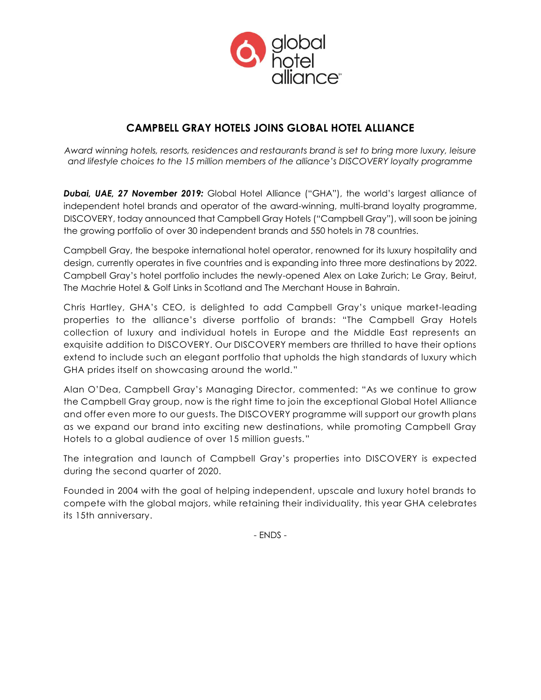

# **CAMPBELL GRAY HOTELS JOINS GLOBAL HOTEL ALLIANCE**

*Award winning hotels, resorts, residences and restaurants brand is set to bring more luxury, leisure and lifestyle choices to the 15 million members of the alliance's DISCOVERY loyalty programme*

*Dubai, UAE, 27 November 2019:* Global Hotel Alliance ("GHA"), the world's largest alliance of independent hotel brands and operator of the award-winning, multi-brand loyalty programme, DISCOVERY, today announced that Campbell Gray Hotels ("Campbell Gray"), will soon be joining the growing portfolio of over 30 independent brands and 550 hotels in 78 countries.

Campbell Gray, the bespoke international hotel operator, renowned for its luxury hospitality and design, currently operates in five countries and is expanding into three more destinations by 2022. Campbell Gray's hotel portfolio includes the newly-opened Alex on Lake Zurich; Le Gray, Beirut, The Machrie Hotel & Golf Links in Scotland and The Merchant House in Bahrain.

Chris Hartley, GHA's CEO, is delighted to add Campbell Gray's unique market-leading properties to the alliance's diverse portfolio of brands: "The Campbell Gray Hotels collection of luxury and individual hotels in Europe and the Middle East represents an exquisite addition to DISCOVERY. Our DISCOVERY members are thrilled to have their options extend to include such an elegant portfolio that upholds the high standards of luxury which GHA prides itself on showcasing around the world."

Alan O'Dea, Campbell Gray's Managing Director, commented: "As we continue to grow the Campbell Gray group, now is the right time to join the exceptional Global Hotel Alliance and offer even more to our guests. The DISCOVERY programme will support our growth plans as we expand our brand into exciting new destinations, while promoting Campbell Gray Hotels to a global audience of over 15 million guests."

The integration and launch of Campbell Gray's properties into DISCOVERY is expected during the second quarter of 2020.

Founded in 2004 with the goal of helping independent, upscale and luxury hotel brands to compete with the global majors, while retaining their individuality, this year GHA celebrates its 15th anniversary.

- ENDS -